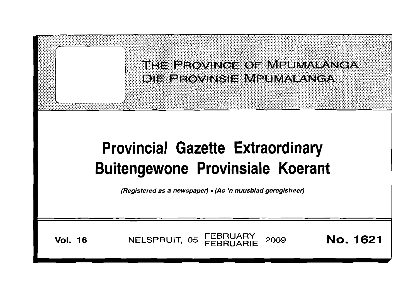